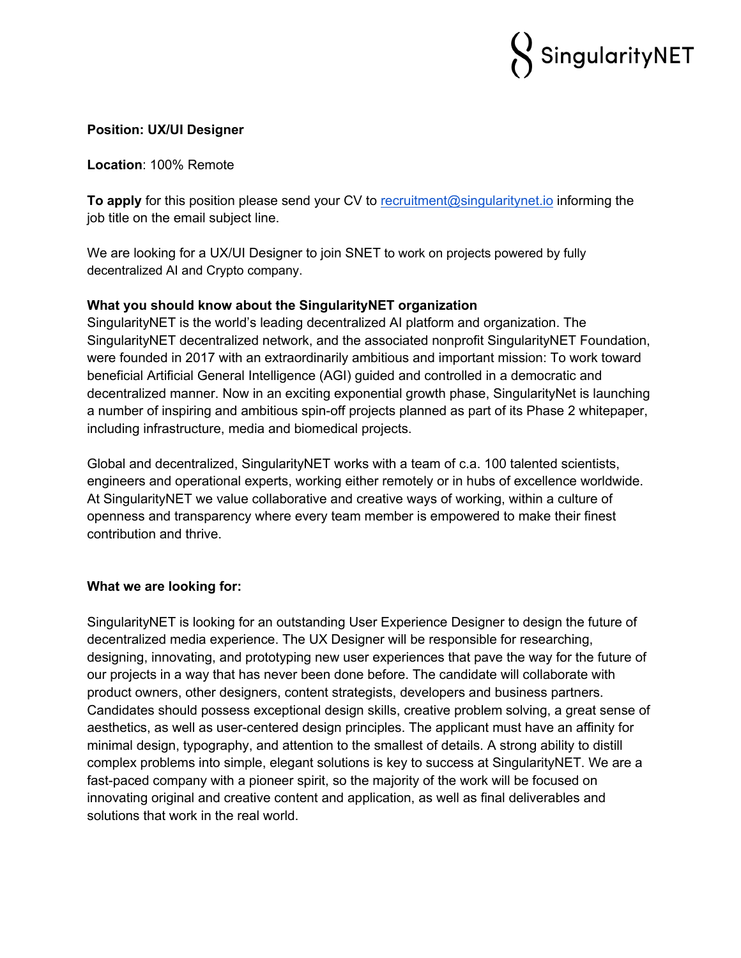

### **Position: UX/UI Designer**

**Location**: 100% Remote

**To apply** for this position please send your CV to recruitment@singularitynet.io informing the job title on the email subject line.

We are looking for a UX/UI Designer to join SNET to work on projects powered by fully decentralized AI and Crypto company.

# **What you should know about the SingularityNET organization**

SingularityNET is the world's leading decentralized AI platform and organization. The SingularityNET decentralized network, and the associated nonprofit SingularityNET Foundation, were founded in 2017 with an extraordinarily ambitious and important mission: To work toward beneficial Artificial General Intelligence (AGI) guided and controlled in a democratic and decentralized manner. Now in an exciting exponential growth phase, SingularityNet is launching a number of inspiring and ambitious spin-off projects planned as part of its Phase 2 whitepaper, including infrastructure, media and biomedical projects.

Global and decentralized, SingularityNET works with a team of c.a. 100 talented scientists, engineers and operational experts, working either remotely or in hubs of excellence worldwide. At SingularityNET we value collaborative and creative ways of working, within a culture of openness and transparency where every team member is empowered to make their finest contribution and thrive.

#### **What we are looking for:**

SingularityNET is looking for an outstanding User Experience Designer to design the future of decentralized media experience. The UX Designer will be responsible for researching, designing, innovating, and prototyping new user experiences that pave the way for the future of our projects in a way that has never been done before. The candidate will collaborate with product owners, other designers, content strategists, developers and business partners. Candidates should possess exceptional design skills, creative problem solving, a great sense of aesthetics, as well as user-centered design principles. The applicant must have an affinity for minimal design, typography, and attention to the smallest of details. A strong ability to distill complex problems into simple, elegant solutions is key to success at SingularityNET. We are a fast-paced company with a pioneer spirit, so the majority of the work will be focused on innovating original and creative content and application, as well as final deliverables and solutions that work in the real world.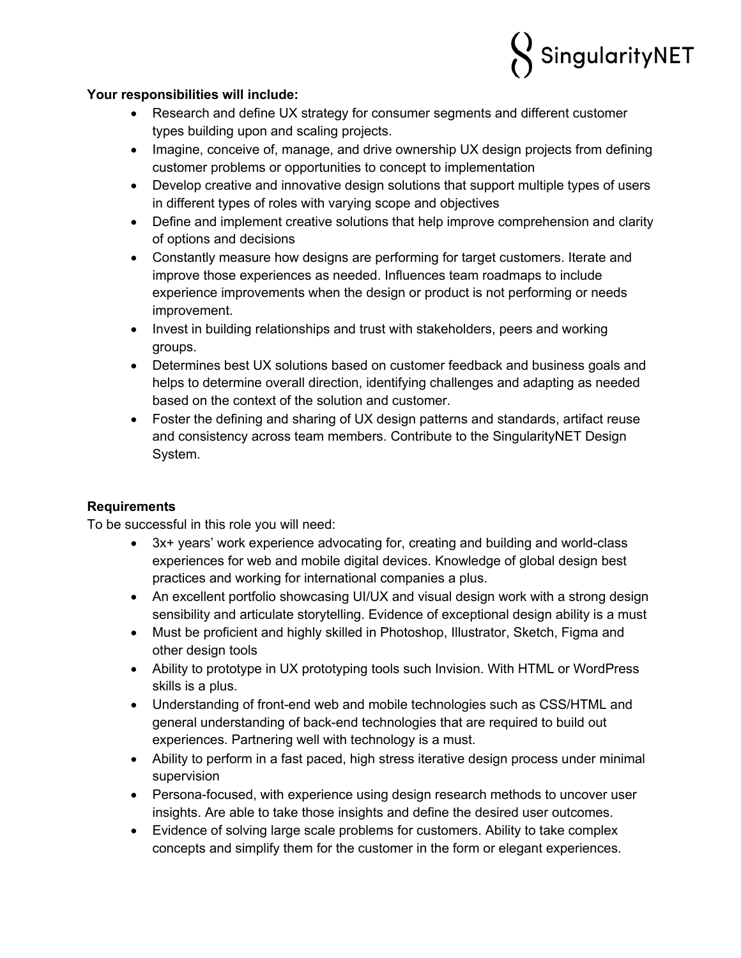

### **Your responsibilities will include:**

- Research and define UX strategy for consumer segments and different customer types building upon and scaling projects.
- Imagine, conceive of, manage, and drive ownership UX design projects from defining customer problems or opportunities to concept to implementation
- Develop creative and innovative design solutions that support multiple types of users in different types of roles with varying scope and objectives
- Define and implement creative solutions that help improve comprehension and clarity of options and decisions
- Constantly measure how designs are performing for target customers. Iterate and improve those experiences as needed. Influences team roadmaps to include experience improvements when the design or product is not performing or needs improvement.
- Invest in building relationships and trust with stakeholders, peers and working groups.
- Determines best UX solutions based on customer feedback and business goals and helps to determine overall direction, identifying challenges and adapting as needed based on the context of the solution and customer.
- Foster the defining and sharing of UX design patterns and standards, artifact reuse and consistency across team members. Contribute to the SingularityNET Design System.

# **Requirements**

To be successful in this role you will need:

- 3x+ years' work experience advocating for, creating and building and world-class experiences for web and mobile digital devices. Knowledge of global design best practices and working for international companies a plus.
- An excellent portfolio showcasing UI/UX and visual design work with a strong design sensibility and articulate storytelling. Evidence of exceptional design ability is a must
- Must be proficient and highly skilled in Photoshop, Illustrator, Sketch, Figma and other design tools
- Ability to prototype in UX prototyping tools such Invision. With HTML or WordPress skills is a plus.
- Understanding of front-end web and mobile technologies such as CSS/HTML and general understanding of back-end technologies that are required to build out experiences. Partnering well with technology is a must.
- Ability to perform in a fast paced, high stress iterative design process under minimal supervision
- Persona-focused, with experience using design research methods to uncover user insights. Are able to take those insights and define the desired user outcomes.
- Evidence of solving large scale problems for customers. Ability to take complex concepts and simplify them for the customer in the form or elegant experiences.